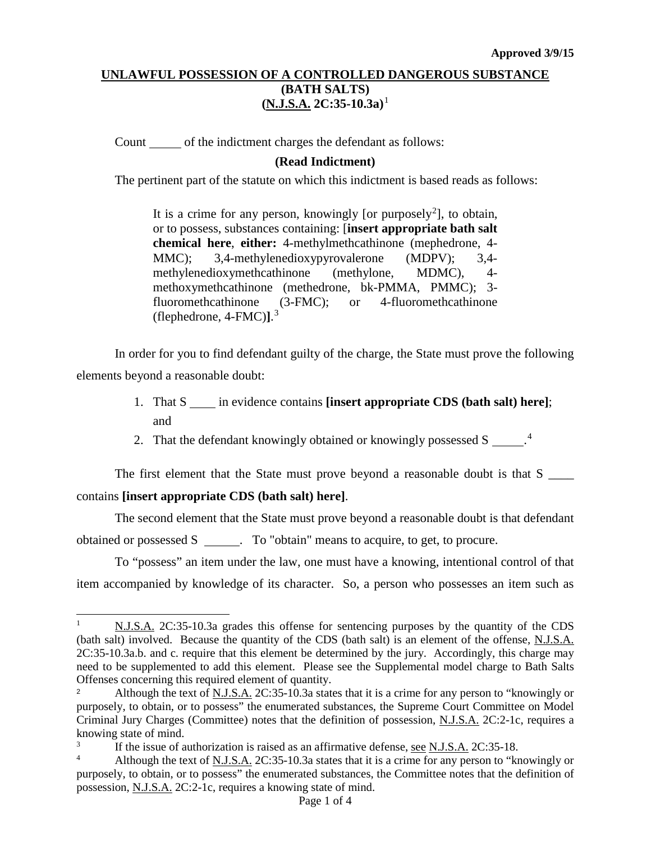# **UNLAWFUL POSSESSION OF A CONTROLLED DANGEROUS SUBSTANCE (BATH SALTS) (N.J.S.A. 2C:35-10.3a)** [1](#page-0-0)

Count of the indictment charges the defendant as follows:

### **(Read Indictment)**

The pertinent part of the statute on which this indictment is based reads as follows:

It is a crime for any person, knowingly [or purposely<sup>[2](#page-0-1)</sup>], to obtain, or to possess, substances containing: [**insert appropriate bath salt chemical here**, **either:** 4-methylmethcathinone (mephedrone, 4- MMC); 3,4-methylenedioxypyrovalerone (MDPV); 3,4 methylenedioxymethcathinone (methylone, MDMC), 4 methoxymethcathinone (methedrone, bk-PMMA, PMMC); 3-<br>fluoromethcathinone (3-FMC); or 4-fluoromethcathinone fluoromethcathinone (3-FMC); or 4-fluoromethcathinone (flephedrone, 4-FMC)**]**. [3](#page-0-2)

In order for you to find defendant guilty of the charge, the State must prove the following elements beyond a reasonable doubt:

- 1. That S in evidence contains **[insert appropriate CDS (bath salt) here]**; and
- 2. That the defendant knowingly obtained or knowingly possessed  $S_{\text{max}}$ .

The first element that the State must prove beyond a reasonable doubt is that S contains **[insert appropriate CDS (bath salt) here]**.

The second element that the State must prove beyond a reasonable doubt is that defendant obtained or possessed S \_\_\_\_\_\_. To "obtain" means to acquire, to get, to procure.

To "possess" an item under the law, one must have a knowing, intentional control of that item accompanied by knowledge of its character. So, a person who possesses an item such as

<span id="page-0-0"></span>N.J.S.A. 2C:35-10.3a grades this offense for sentencing purposes by the quantity of the CDS (bath salt) involved. Because the quantity of the CDS (bath salt) is an element of the offense, N.J.S.A. 2C:35-10.3a.b. and c. require that this element be determined by the jury. Accordingly, this charge may need to be supplemented to add this element. Please see the Supplemental model charge to Bath Salts Offenses concerning this required element of quantity. j

<span id="page-0-1"></span><sup>&</sup>lt;sup>2</sup> Although the text of N.J.S.A. 2C:35-10.3a states that it is a crime for any person to "knowingly or purposely, to obtain, or to possess" the enumerated substances, the Supreme Court Committee on Model Criminal Jury Charges (Committee) notes that the definition of possession, N.J.S.A. 2C:2-1c, requires a knowing state of mind.

<span id="page-0-2"></span><sup>&</sup>lt;sup>3</sup> If the issue of authorization is raised as an affirmative defense, <u>see N.J.S.A.</u> 2C:35-18.<br><sup>4</sup> Although the text of N.J.S.A. 2C:35-10.39 states that it is a grime for any person to "kr

<span id="page-0-3"></span><sup>4</sup> Although the text of N.J.S.A. 2C:35-10.3a states that it is a crime for any person to "knowingly or purposely, to obtain, or to possess" the enumerated substances, the Committee notes that the definition of possession, N.J.S.A. 2C:2-1c, requires a knowing state of mind.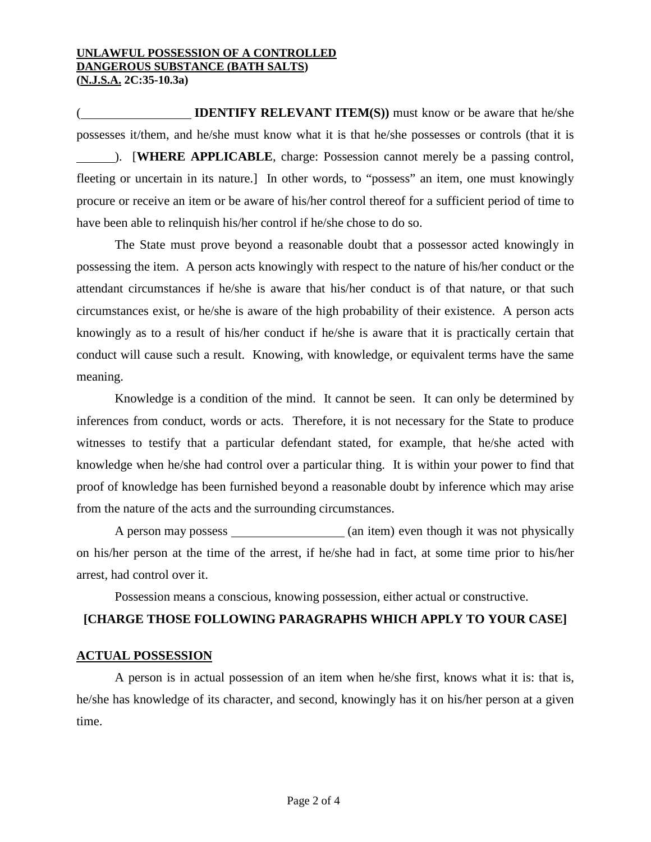#### **UNLAWFUL POSSESSION OF A CONTROLLED DANGEROUS SUBSTANCE (BATH SALTS) (N.J.S.A. 2C:35-10.3a)**

**IDENTIFY RELEVANT ITEM(S)**) must know or be aware that he/she possesses it/them, and he/she must know what it is that he/she possesses or controls (that it is ). [**WHERE APPLICABLE**, charge: Possession cannot merely be a passing control, fleeting or uncertain in its nature.] In other words, to "possess" an item, one must knowingly procure or receive an item or be aware of his/her control thereof for a sufficient period of time to have been able to relinquish his/her control if he/she chose to do so.

The State must prove beyond a reasonable doubt that a possessor acted knowingly in possessing the item. A person acts knowingly with respect to the nature of his/her conduct or the attendant circumstances if he/she is aware that his/her conduct is of that nature, or that such circumstances exist, or he/she is aware of the high probability of their existence. A person acts knowingly as to a result of his/her conduct if he/she is aware that it is practically certain that conduct will cause such a result. Knowing, with knowledge, or equivalent terms have the same meaning.

Knowledge is a condition of the mind. It cannot be seen. It can only be determined by inferences from conduct, words or acts. Therefore, it is not necessary for the State to produce witnesses to testify that a particular defendant stated, for example, that he/she acted with knowledge when he/she had control over a particular thing. It is within your power to find that proof of knowledge has been furnished beyond a reasonable doubt by inference which may arise from the nature of the acts and the surrounding circumstances.

A person may possess (an item) even though it was not physically on his/her person at the time of the arrest, if he/she had in fact, at some time prior to his/her arrest, had control over it.

Possession means a conscious, knowing possession, either actual or constructive.

### **[CHARGE THOSE FOLLOWING PARAGRAPHS WHICH APPLY TO YOUR CASE]**

# **ACTUAL POSSESSION**

A person is in actual possession of an item when he/she first, knows what it is: that is, he/she has knowledge of its character, and second, knowingly has it on his/her person at a given time.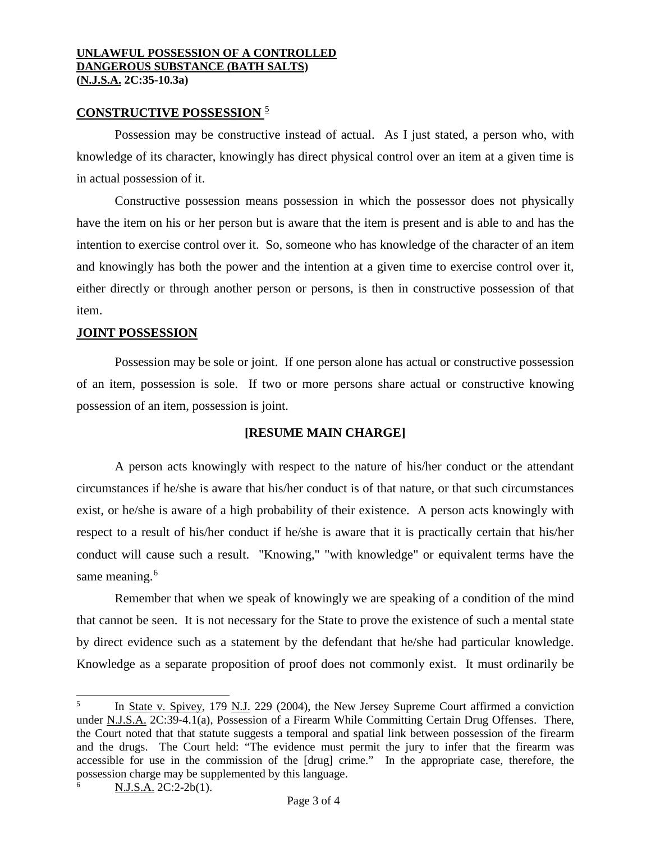#### **UNLAWFUL POSSESSION OF A CONTROLLED DANGEROUS SUBSTANCE (BATH SALTS) (N.J.S.A. 2C:35-10.3a)**

### **CONSTRUCTIVE POSSESSION** [5](#page-2-0)

Possession may be constructive instead of actual. As I just stated, a person who, with knowledge of its character, knowingly has direct physical control over an item at a given time is in actual possession of it.

Constructive possession means possession in which the possessor does not physically have the item on his or her person but is aware that the item is present and is able to and has the intention to exercise control over it. So, someone who has knowledge of the character of an item and knowingly has both the power and the intention at a given time to exercise control over it, either directly or through another person or persons, is then in constructive possession of that item.

# **JOINT POSSESSION**

Possession may be sole or joint. If one person alone has actual or constructive possession of an item, possession is sole. If two or more persons share actual or constructive knowing possession of an item, possession is joint.

# **[RESUME MAIN CHARGE]**

A person acts knowingly with respect to the nature of his/her conduct or the attendant circumstances if he/she is aware that his/her conduct is of that nature, or that such circumstances exist, or he/she is aware of a high probability of their existence. A person acts knowingly with respect to a result of his/her conduct if he/she is aware that it is practically certain that his/her conduct will cause such a result. "Knowing," "with knowledge" or equivalent terms have the same meaning.<sup>[6](#page-2-1)</sup>

Remember that when we speak of knowingly we are speaking of a condition of the mind that cannot be seen. It is not necessary for the State to prove the existence of such a mental state by direct evidence such as a statement by the defendant that he/she had particular knowledge. Knowledge as a separate proposition of proof does not commonly exist. It must ordinarily be

-

<span id="page-2-0"></span><sup>&</sup>lt;sup>5</sup> In <u>State v. Spivey</u>, 179 N.J. 229 (2004), the New Jersey Supreme Court affirmed a conviction under N.J.S.A. 2C:39-4.1(a), Possession of a Firearm While Committing Certain Drug Offenses. There, the Court noted that that statute suggests a temporal and spatial link between possession of the firearm and the drugs. The Court held: "The evidence must permit the jury to infer that the firearm was accessible for use in the commission of the [drug] crime." In the appropriate case, therefore, the possession charge may be supplemented by this language.

<span id="page-2-1"></span>N.J.S.A. 2C:2-2b(1).